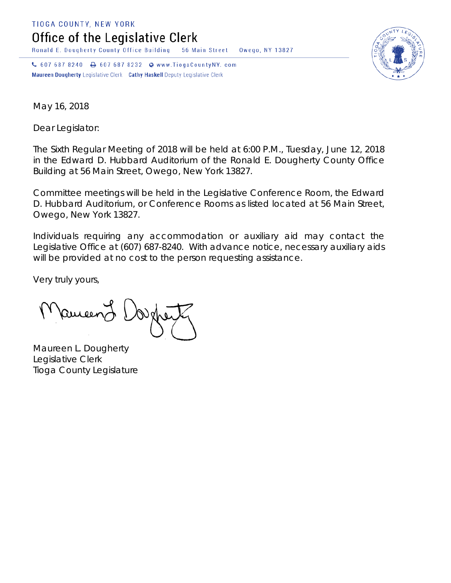TIOGA COUNTY, NEW YORK

Office of the Legislative Clerk

Ronald E. Dougherty County Office Building 56 Main Street Owego, NY 13827

↓ 607 687 8240 → 607 687 8232 → www.TiogaCountyNY.com Maureen Dougherty Legislative Clerk Cathy Haskell Deputy Legislative Clerk



May 16, 2018

Dear Legislator:

The Sixth Regular Meeting of 2018 will be held at 6:00 P.M., Tuesday, June 12, 2018 in the Edward D. Hubbard Auditorium of the Ronald E. Dougherty County Office Building at 56 Main Street, Owego, New York 13827.

Committee meetings will be held in the Legislative Conference Room, the Edward D. Hubbard Auditorium, or Conference Rooms as listed located at 56 Main Street, Owego, New York 13827.

Individuals requiring any accommodation or auxiliary aid may contact the Legislative Office at (607) 687-8240. With advance notice, necessary auxiliary aids will be provided at no cost to the person requesting assistance.

Very truly yours,

Remeend

Maureen L. Dougherty Legislative Clerk Tioga County Legislature